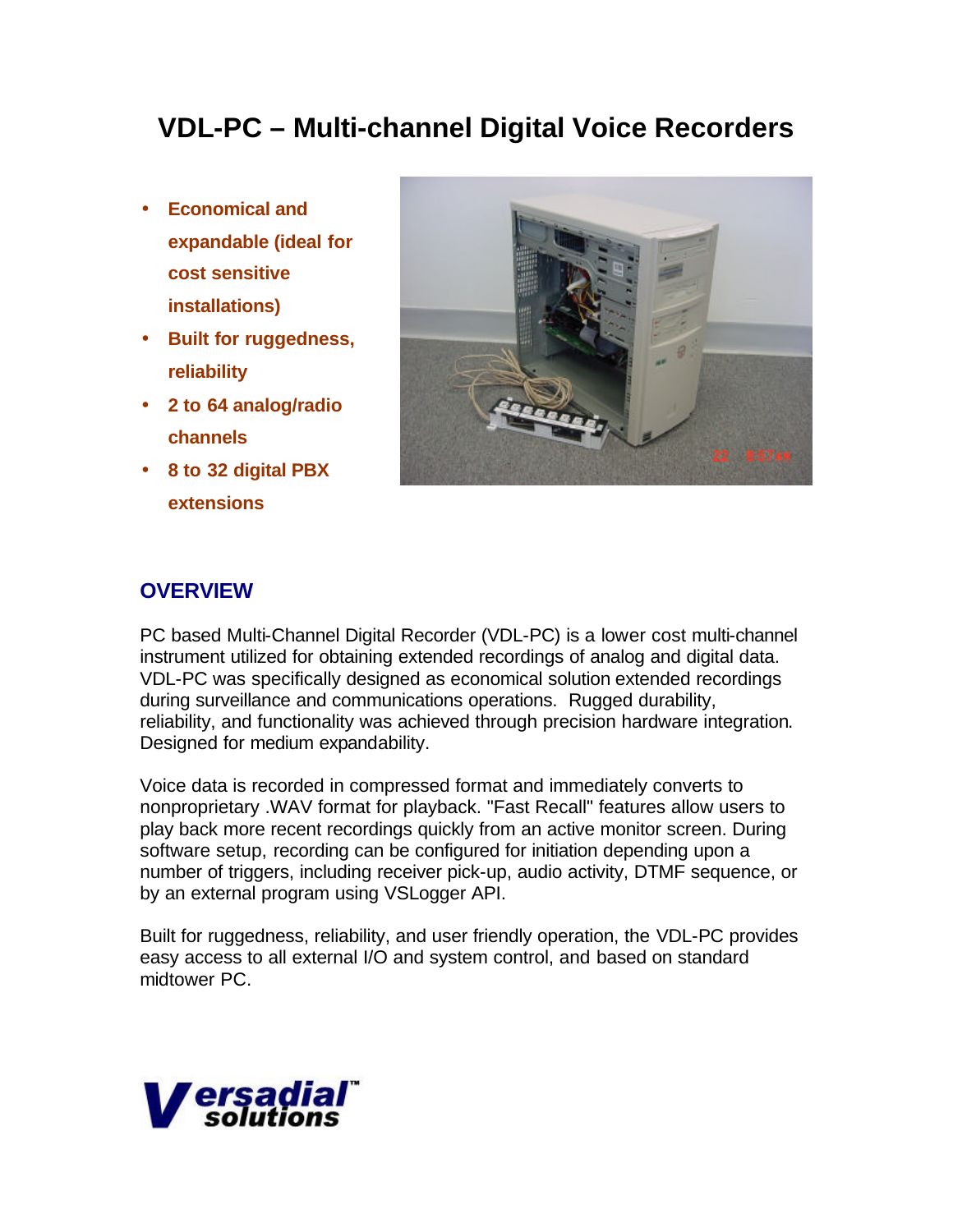# **VDL-PC – Multi-channel Digital Voice Recorders**

- **Economical and expandable (ideal for cost sensitive installations)**
- **Built for ruggedness, reliability**
- **2 to 64 analog/radio channels**
- **8 to 32 digital PBX extensions**



## **OVERVIEW**

PC based Multi-Channel Digital Recorder (VDL-PC) is a lower cost multi-channel instrument utilized for obtaining extended recordings of analog and digital data. VDL-PC was specifically designed as economical solution extended recordings during surveillance and communications operations. Rugged durability, reliability, and functionality was achieved through precision hardware integration. Designed for medium expandability.

Voice data is recorded in compressed format and immediately converts to nonproprietary .WAV format for playback. "Fast Recall" features allow users to play back more recent recordings quickly from an active monitor screen. During software setup, recording can be configured for initiation depending upon a number of triggers, including receiver pick-up, audio activity, DTMF sequence, or by an external program using VSLogger API.

Built for ruggedness, reliability, and user friendly operation, the VDL-PC provides easy access to all external I/O and system control, and based on standard midtower PC.